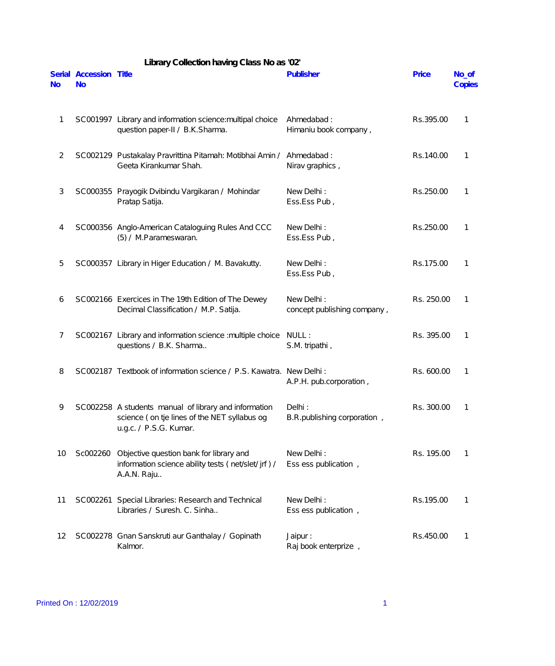| No             | Serial Accession Title<br><b>No</b> |                                                                                                                                 | Publisher                                 | Price      | No_of<br>Copies |
|----------------|-------------------------------------|---------------------------------------------------------------------------------------------------------------------------------|-------------------------------------------|------------|-----------------|
| 1              |                                     | SC001997 Library and information science: multipal choice<br>question paper-II / B.K.Sharma.                                    | Ahmedabad:<br>Himaniu book company,       | Rs.395.00  | 1               |
| $\overline{2}$ |                                     | SC002129 Pustakalay Pravrittina Pitamah: Motibhai Amin /<br>Geeta Kirankumar Shah.                                              | Ahmedabad:<br>Nirav graphics,             | Rs.140.00  | 1               |
| 3              |                                     | SC000355 Prayogik Dvibindu Vargikaran / Mohindar<br>Pratap Satija.                                                              | New Delhi:<br>Ess.Ess Pub,                | Rs.250.00  | 1               |
| 4              |                                     | SC000356 Anglo-American Cataloguing Rules And CCC<br>(5) / M.Parameswaran.                                                      | New Delhi:<br>Ess.Ess Pub,                | Rs.250.00  | 1               |
| 5              |                                     | SC000357 Library in Higer Education / M. Bavakutty.                                                                             | New Delhi:<br>Ess.Ess Pub,                | Rs.175.00  | 1               |
| 6              |                                     | SC002166 Exercices in The 19th Edition of The Dewey<br>Decimal Classification / M.P. Satija.                                    | New Delhi:<br>concept publishing company, | Rs. 250.00 | 1               |
| 7              |                                     | SC002167 Library and information science : multiple choice<br>questions / B.K. Sharma                                           | NULL:<br>S.M. tripathi,                   | Rs. 395.00 | 1               |
| 8              |                                     | SC002187 Textbook of information science / P.S. Kawatra. New Delhi:                                                             | A.P.H. pub.corporation,                   | Rs. 600.00 | 1               |
| 9              |                                     | SC002258 A students manual of library and information<br>science (on tje lines of the NET syllabus og<br>u.g.c. / P.S.G. Kumar. | Delhi:<br>B.R. publishing corporation,    | Rs. 300.00 | 1               |
| 10             | Sc002260                            | Objective question bank for library and<br>information science ability tests (net/slet/ jrf) /<br>A.A.N. Raju                   | New Delhi:<br>Ess ess publication,        | Rs. 195.00 | 1               |
| 11             |                                     | SC002261 Special Libraries: Research and Technical<br>Libraries / Suresh. C. Sinha                                              | New Delhi:<br>Ess ess publication,        | Rs.195.00  |                 |
| 12             |                                     | SC002278 Gnan Sanskruti aur Ganthalay / Gopinath<br>Kalmor.                                                                     | Jaipur:<br>Raj book enterprize,           | Rs.450.00  |                 |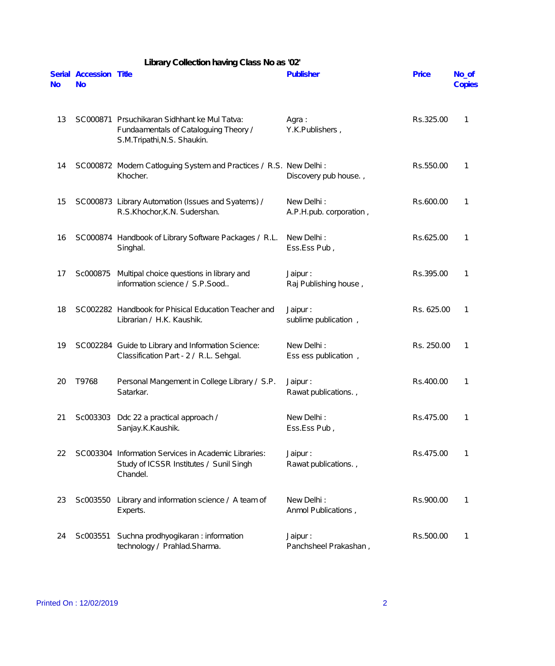|           |                                     | Library Collection having Class No as '02'                                                                           |                                       |              |                 |
|-----------|-------------------------------------|----------------------------------------------------------------------------------------------------------------------|---------------------------------------|--------------|-----------------|
| <b>No</b> | Serial Accession Title<br><b>No</b> |                                                                                                                      | Publisher                             | <b>Price</b> | No_of<br>Copies |
| 13        |                                     | SC000871 Prsuchikaran Sidhhant ke Mul Tatva:<br>Fundaamentals of Cataloguing Theory /<br>S.M.Tripathi, N.S. Shaukin. | Agra:<br>Y.K.Publishers,              | Rs.325.00    | 1               |
| 14        |                                     | SC000872 Modern Catloguing System and Practices / R.S. New Delhi :<br>Khocher.                                       | Discovery pub house.,                 | Rs.550.00    | 1               |
| 15        |                                     | SC000873 Library Automation (Issues and Syatems) /<br>R.S.Khochor, K.N. Sudershan.                                   | New Delhi:<br>A.P.H.pub. corporation, | Rs.600.00    | 1               |
| 16        |                                     | SC000874 Handbook of Library Software Packages / R.L.<br>Singhal.                                                    | New Delhi:<br>Ess.Ess Pub,            | Rs.625.00    | 1               |
| 17        | Sc000875                            | Multipal choice questions in library and<br>information science / S.P.Sood                                           | Jaipur:<br>Raj Publishing house,      | Rs.395.00    | 1               |
| 18        |                                     | SC002282 Handbook for Phisical Education Teacher and<br>Librarian / H.K. Kaushik.                                    | Jaipur:<br>sublime publication,       | Rs. 625.00   | 1               |
| 19        |                                     | SC002284 Guide to Library and Information Science:<br>Classification Part - 2 / R.L. Sehgal.                         | New Delhi:<br>Ess ess publication,    | Rs. 250.00   | 1               |
| 20        | T9768                               | Personal Mangement in College Library / S.P.<br>Satarkar.                                                            | Jaipur:<br>Rawat publications.,       | Rs.400.00    | 1               |
| 21        |                                     | Sc003303 Ddc 22 a practical approach /<br>Sanjay.K.Kaushik.                                                          | New Delhi:<br>Ess.Ess Pub,            | Rs.475.00    | 1               |
| 22        |                                     | SC003304 Information Services in Academic Libraries:<br>Study of ICSSR Institutes / Sunil Singh<br>Chandel.          | Jaipur:<br>Rawat publications.,       | Rs.475.00    | 1               |
| 23        |                                     | Sc003550 Library and information science / A team of<br>Experts.                                                     | New Delhi:<br>Anmol Publications,     | Rs.900.00    | 1               |
| 24        | Sc003551                            | Suchna prodhyogikaran : information<br>technology / Prahlad.Sharma.                                                  | Jaipur:<br>Panchsheel Prakashan,      | Rs.500.00    | 1               |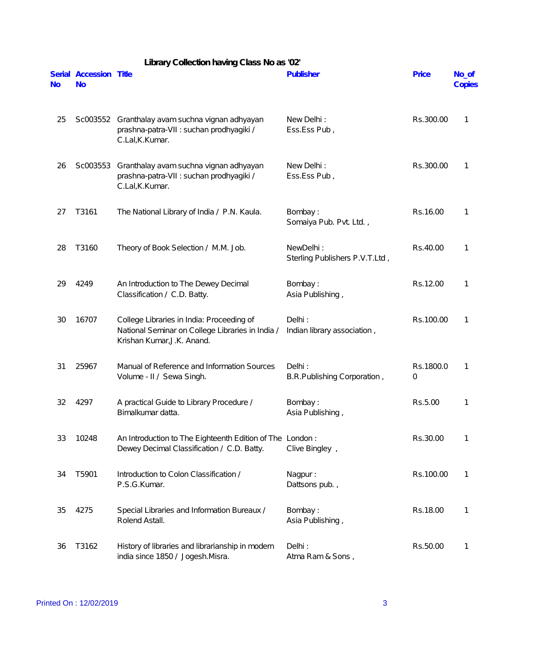|    |                                     | Library Collection having Class No as '02'                                                                                  |                                             |                |                 |
|----|-------------------------------------|-----------------------------------------------------------------------------------------------------------------------------|---------------------------------------------|----------------|-----------------|
| No | Serial Accession Title<br><b>No</b> |                                                                                                                             | Publisher                                   | <b>Price</b>   | No_of<br>Copies |
| 25 |                                     | Sc003552 Granthalay avam suchna vignan adhyayan<br>prashna-patra-VII : suchan prodhyagiki /<br>C.Lal, K.Kumar.              | New Delhi:<br>Ess.Ess Pub,                  | Rs.300.00      | 1               |
| 26 | Sc003553                            | Granthalay avam suchna vignan adhyayan<br>prashna-patra-VII : suchan prodhyagiki /<br>C.Lal, K.Kumar.                       | New Delhi:<br>Ess.Ess Pub,                  | Rs.300.00      | 1               |
| 27 | T3161                               | The National Library of India / P.N. Kaula.                                                                                 | Bombay:<br>Somaiya Pub. Pvt. Ltd.,          | Rs.16.00       | 1               |
| 28 | T3160                               | Theory of Book Selection / M.M. Job.                                                                                        | NewDelhi:<br>Sterling Publishers P.V.T.Ltd, | Rs.40.00       | 1               |
| 29 | 4249                                | An Introduction to The Dewey Decimal<br>Classification / C.D. Batty.                                                        | Bombay:<br>Asia Publishing,                 | Rs.12.00       | 1               |
| 30 | 16707                               | College Libraries in India: Proceeding of<br>National Seminar on College Libraries in India /<br>Krishan Kumar, J.K. Anand. | Delhi:<br>Indian library association,       | Rs.100.00      | 1               |
| 31 | 25967                               | Manual of Reference and Information Sources<br>Volume - II / Sewa Singh.                                                    | Delhi:<br>B.R.Publishing Corporation,       | Rs.1800.0<br>0 | 1               |
| 32 | 4297                                | A practical Guide to Library Procedure /<br>Bimalkumar datta.                                                               | Bombay:<br>Asia Publishing,                 | Rs.5.00        |                 |
| 33 | 10248                               | An Introduction to The Eighteenth Edition of The London:<br>Dewey Decimal Classification / C.D. Batty.                      | Clive Bingley,                              | Rs.30.00       | 1               |
| 34 | T5901                               | Introduction to Colon Classification /<br>P.S.G.Kumar.                                                                      | Nagpur:<br>Dattsons pub.,                   | Rs.100.00      | 1               |
| 35 | 4275                                | Special Libraries and Information Bureaux /<br>Rolend Astall.                                                               | Bombay:<br>Asia Publishing,                 | Rs.18.00       | 1               |
| 36 | T3162                               | History of libraries and librarianship in modern<br>india since 1850 / Jogesh.Misra.                                        | Delhi:<br>Atma Ram & Sons,                  | Rs.50.00       | $\mathbf{1}$    |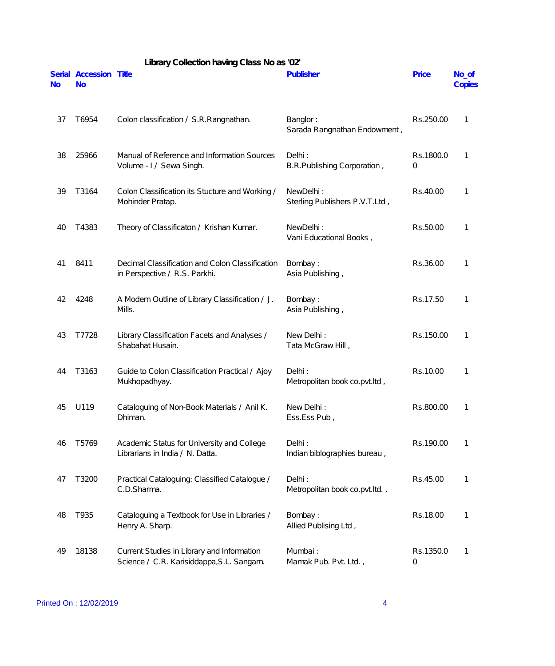|           | Library Collection having Class No as '02' |                                                                                         |                                             |                |                 |  |  |
|-----------|--------------------------------------------|-----------------------------------------------------------------------------------------|---------------------------------------------|----------------|-----------------|--|--|
| <b>No</b> | Serial Accession Title<br><b>No</b>        |                                                                                         | Publisher                                   | <b>Price</b>   | No_of<br>Copies |  |  |
| 37        | T6954                                      | Colon classification / S.R. Rangnathan.                                                 | Banglor:<br>Sarada Rangnathan Endowment,    | Rs.250.00      | 1               |  |  |
| 38        | 25966                                      | Manual of Reference and Information Sources<br>Volume - I / Sewa Singh.                 | Delhi:<br>B.R.Publishing Corporation,       | Rs.1800.0<br>0 | 1               |  |  |
| 39        | T3164                                      | Colon Classification its Stucture and Working /<br>Mohinder Pratap.                     | NewDelhi:<br>Sterling Publishers P.V.T.Ltd, | Rs.40.00       | 1               |  |  |
| 40        | T4383                                      | Theory of Classificaton / Krishan Kumar.                                                | NewDelhi:<br>Vani Educational Books,        | Rs.50.00       | 1               |  |  |
| 41        | 8411                                       | Decimal Classification and Colon Classification<br>in Perspective / R.S. Parkhi.        | Bombay:<br>Asia Publishing,                 | Rs.36.00       | 1               |  |  |
| 42        | 4248                                       | A Modern Outline of Library Classification / J.<br>Mills.                               | Bombay:<br>Asia Publishing,                 | Rs.17.50       | 1               |  |  |
| 43        | T7728                                      | Library Classification Facets and Analyses /<br>Shabahat Husain.                        | New Delhi:<br>Tata McGraw Hill,             | Rs.150.00      | 1               |  |  |
| 44        | T3163                                      | Guide to Colon Classification Practical / Ajoy<br>Mukhopadhyay.                         | Delhi:<br>Metropolitan book co.pvt.ltd,     | Rs.10.00       | 1               |  |  |
| 45        | U119                                       | Cataloguing of Non-Book Materials / Anil K.<br>Dhiman.                                  | New Delhi:<br>Ess.Ess Pub,                  | Rs.800.00      | 1               |  |  |
| 46        | T5769                                      | Academic Status for University and College<br>Librarians in India / N. Datta.           | Delhi:<br>Indian biblographies bureau,      | Rs.190.00      | 1               |  |  |
| 47        | T3200                                      | Practical Cataloguing: Classified Catalogue /<br>C.D.Sharma.                            | Delhi:<br>Metropolitan book co.pvt.ltd.,    | Rs.45.00       | 1               |  |  |
| 48        | T935                                       | Cataloguing a Textbook for Use in Libraries /<br>Henry A. Sharp.                        | Bombay:<br>Allied Publising Ltd,            | Rs.18.00       | 1               |  |  |
| 49        | 18138                                      | Current Studies in Library and Information<br>Science / C.R. Karisiddappa, S.L. Sangam. | Mumbai:<br>Mamak Pub. Pvt. Ltd.,            | Rs.1350.0<br>0 | 1               |  |  |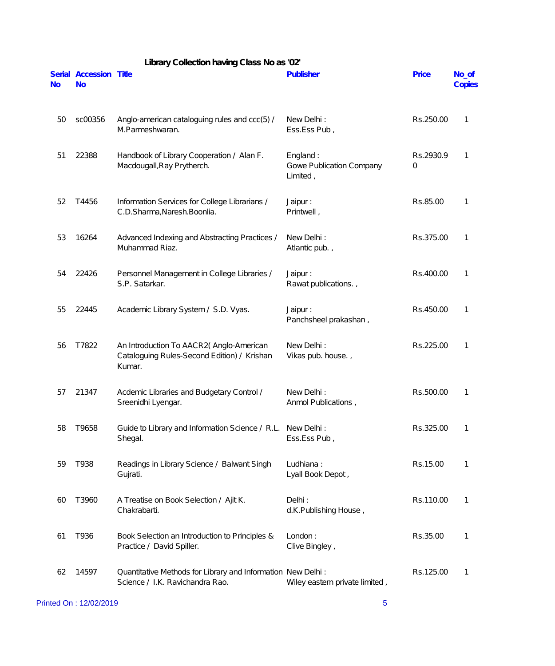|           | Library Collection having Class No as '02' |                                                                                                  |                                                  |                |                 |  |
|-----------|--------------------------------------------|--------------------------------------------------------------------------------------------------|--------------------------------------------------|----------------|-----------------|--|
| <b>No</b> | Serial Accession Title<br><b>No</b>        |                                                                                                  | Publisher                                        | <b>Price</b>   | No_of<br>Copies |  |
| 50        | sc00356                                    | Anglo-american cataloguing rules and ccc(5) /<br>M.Parmeshwaran.                                 | New Delhi:<br>Ess.Ess Pub,                       | Rs.250.00      | 1               |  |
| 51        | 22388                                      | Handbook of Library Cooperation / Alan F.<br>Macdougall, Ray Prytherch.                          | England:<br>Gowe Publication Company<br>Limited, | Rs.2930.9<br>0 | 1               |  |
| 52        | T4456                                      | Information Services for College Librarians /<br>C.D.Sharma, Naresh. Boonlia.                    | Jaipur:<br>Printwell,                            | Rs.85.00       | 1               |  |
| 53        | 16264                                      | Advanced Indexing and Abstracting Practices /<br>Muhammad Riaz.                                  | New Delhi:<br>Atlantic pub.,                     | Rs.375.00      | 1               |  |
| 54        | 22426                                      | Personnel Management in College Libraries /<br>S.P. Satarkar.                                    | Jaipur:<br>Rawat publications.,                  | Rs.400.00      | 1               |  |
| 55        | 22445                                      | Academic Library System / S.D. Vyas.                                                             | Jaipur:<br>Panchsheel prakashan,                 | Rs.450.00      | 1               |  |
| 56        | T7822                                      | An Introduction To AACR2(Anglo-American<br>Cataloguing Rules-Second Edition) / Krishan<br>Kumar. | New Delhi:<br>Vikas pub. house.,                 | Rs.225.00      | 1               |  |
| 57        | 21347                                      | Acdemic Libraries and Budgetary Control /<br>Sreenidhi Lyengar.                                  | New Delhi:<br>Anmol Publications,                | Rs.500.00      | 1               |  |
| 58        | T9658                                      | Guide to Library and Information Science / R.L.<br>Shegal.                                       | New Delhi:<br>Ess.Ess Pub,                       | Rs.325.00      | 1               |  |
| 59        | T938                                       | Readings in Library Science / Balwant Singh<br>Gujrati.                                          | Ludhiana:<br>Lyall Book Depot,                   | Rs.15.00       | 1               |  |
| 60        | T3960                                      | A Treatise on Book Selection / Ajit K.<br>Chakrabarti.                                           | Delhi:<br>d.K.Publishing House,                  | Rs.110.00      | 1               |  |
| 61        | T936                                       | Book Selection an Introduction to Principles &<br>Practice / David Spiller.                      | London:<br>Clive Bingley,                        | Rs.35.00       | 1               |  |
| 62        | 14597                                      | Quantitative Methods for Library and Information New Delhi:<br>Science / I.K. Ravichandra Rao.   | Wiley eastern private limited,                   | Rs.125.00      | 1               |  |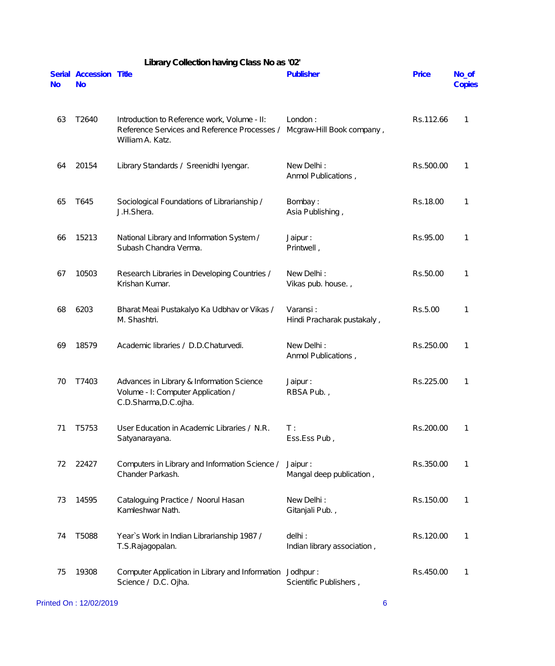|           |                                     | Library Collection having Class No as '02'                                                                       |                                        |              |                 |
|-----------|-------------------------------------|------------------------------------------------------------------------------------------------------------------|----------------------------------------|--------------|-----------------|
| <b>No</b> | Serial Accession Title<br><b>No</b> |                                                                                                                  | Publisher                              | <b>Price</b> | No_of<br>Copies |
| 63        | T2640                               | Introduction to Reference work, Volume - II:<br>Reference Services and Reference Processes /<br>William A. Katz. | London:<br>Mcgraw-Hill Book company,   | Rs.112.66    | 1               |
| 64        | 20154                               | Library Standards / Sreenidhi Iyengar.                                                                           | New Delhi:<br>Anmol Publications,      | Rs.500.00    | 1               |
| 65        | T645                                | Sociological Foundations of Librarianship /<br>J.H.Shera.                                                        | Bombay:<br>Asia Publishing,            | Rs.18.00     | 1               |
| 66        | 15213                               | National Library and Information System /<br>Subash Chandra Verma.                                               | Jaipur:<br>Printwell,                  | Rs.95.00     | 1               |
| 67        | 10503                               | Research Libraries in Developing Countries /<br>Krishan Kumar.                                                   | New Delhi:<br>Vikas pub. house.,       | Rs.50.00     | 1               |
| 68        | 6203                                | Bharat Meai Pustakalyo Ka Udbhav or Vikas /<br>M. Shashtri.                                                      | Varansi:<br>Hindi Pracharak pustakaly, | Rs.5.00      | 1               |
| 69        | 18579                               | Academic libraries / D.D.Chaturvedi.                                                                             | New Delhi:<br>Anmol Publications,      | Rs.250.00    | 1               |
| 70        | T7403                               | Advances in Library & Information Science<br>Volume - I: Computer Application /<br>C.D.Sharma, D.C.ojha.         | Jaipur:<br>RBSA Pub.,                  | Rs.225.00    | 1               |
| 71        | T5753                               | User Education in Academic Libraries / N.R.<br>Satyanarayana.                                                    | $T$ :<br>Ess.Ess Pub,                  | Rs.200.00    | 1               |
| 72        | 22427                               | Computers in Library and Information Science /<br>Chander Parkash.                                               | Jaipur:<br>Mangal deep publication,    | Rs.350.00    | 1               |
| 73        | 14595                               | Cataloguing Practice / Noorul Hasan<br>Kamleshwar Nath.                                                          | New Delhi:<br>Gitanjali Pub.,          | Rs.150.00    | 1               |
| 74        | T5088                               | Year's Work in Indian Librarianship 1987 /<br>T.S.Rajagopalan.                                                   | delhi:<br>Indian library association,  | Rs.120.00    | 1               |
| 75        | 19308                               | Computer Application in Library and Information<br>Science / D.C. Ojha.                                          | Jodhpur:<br>Scientific Publishers,     | Rs.450.00    | 1               |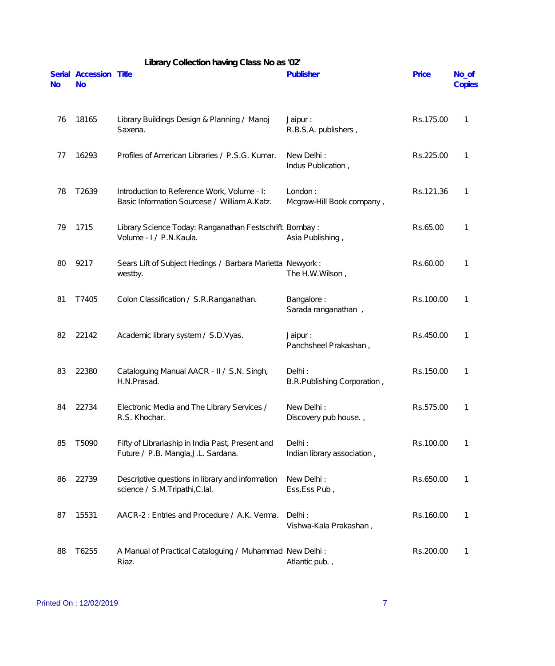|           |                                     | Library Collection having Class No as '02'                                                  |                                       |           |                 |
|-----------|-------------------------------------|---------------------------------------------------------------------------------------------|---------------------------------------|-----------|-----------------|
| <b>No</b> | Serial Accession Title<br><b>No</b> |                                                                                             | Publisher                             | Price     | No_of<br>Copies |
| 76        | 18165                               | Library Buildings Design & Planning / Manoj<br>Saxena.                                      | Jaipur:<br>R.B.S.A. publishers,       | Rs.175.00 | 1               |
| 77        | 16293                               | Profiles of American Libraries / P.S.G. Kumar.                                              | New Delhi:<br>Indus Publication,      | Rs.225.00 | 1               |
| 78        | T2639                               | Introduction to Reference Work, Volume - I:<br>Basic Information Sourcese / William A.Katz. | London:<br>Mcgraw-Hill Book company,  | Rs.121.36 | 1               |
| 79        | 1715                                | Library Science Today: Ranganathan Festschrift Bombay:<br>Volume - I / P.N. Kaula.          | Asia Publishing,                      | Rs.65.00  | 1               |
| 80        | 9217                                | Sears Lift of Subject Hedings / Barbara Marietta Newyork:<br>westby.                        | The H.W.Wilson,                       | Rs.60.00  | 1               |
| 81        | T7405                               | Colon Classification / S.R.Ranganathan.                                                     | Bangalore:<br>Sarada ranganathan,     | Rs.100.00 | 1               |
| 82        | 22142                               | Academic library system / S.D. Vyas.                                                        | Jaipur:<br>Panchsheel Prakashan,      | Rs.450.00 | $\mathbf{1}$    |
| 83        | 22380                               | Cataloguing Manual AACR - II / S.N. Singh,<br>H.N.Prasad.                                   | Delhi:<br>B.R.Publishing Corporation, | Rs.150.00 | 1               |
| 84        | 22734                               | Electronic Media and The Library Services /<br>R.S. Khochar.                                | New Delhi:<br>Discovery pub house.,   | Rs.575.00 | 1               |
| 85        | T5090                               | Fifty of Librariaship in India Past, Present and<br>Future / P.B. Mangla, J.L. Sardana.     | Delhi:<br>Indian library association, | Rs.100.00 | 1               |
| 86        | 22739                               | Descriptive questions in library and information<br>science / S.M.Tripathi, C.lal.          | New Delhi:<br>Ess.Ess Pub,            | Rs.650.00 | 1               |
| 87        | 15531                               | AACR-2 : Entries and Procedure / A.K. Verma.                                                | Delhi:<br>Vishwa-Kala Prakashan,      | Rs.160.00 | 1               |
| 88        | T6255                               | A Manual of Practical Cataloguing / Muhammad New Delhi:<br>Riaz.                            | Atlantic pub.,                        | Rs.200.00 | 1               |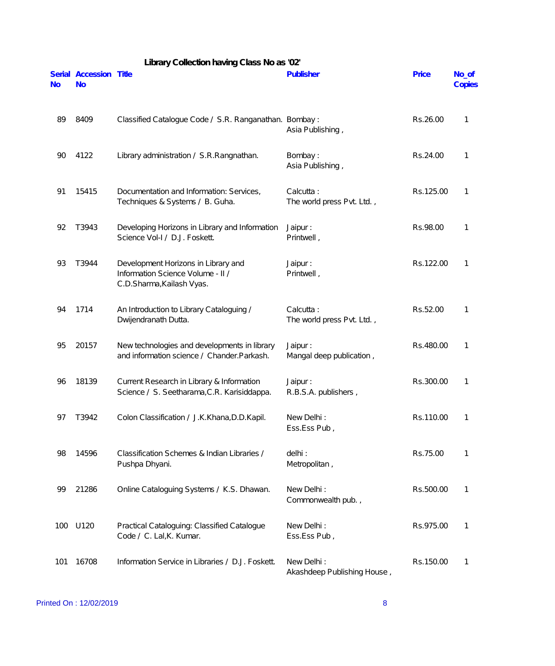|                     |                                     | Library Collection having Class No as '02'                                                            |                                           |           |                 |
|---------------------|-------------------------------------|-------------------------------------------------------------------------------------------------------|-------------------------------------------|-----------|-----------------|
| Serial<br><b>No</b> | <b>Accession Title</b><br><b>No</b> |                                                                                                       | Publisher                                 | Price     | No_of<br>Copies |
| 89                  | 8409                                | Classified Catalogue Code / S.R. Ranganathan. Bombay:                                                 | Asia Publishing,                          | Rs.26.00  | 1               |
| 90                  | 4122                                | Library administration / S.R.Rangnathan.                                                              | Bombay:<br>Asia Publishing,               | Rs.24.00  | 1               |
| 91                  | 15415                               | Documentation and Information: Services,<br>Techniques & Systems / B. Guha.                           | Calcutta:<br>The world press Pvt. Ltd.,   | Rs.125.00 | 1               |
| 92                  | T3943                               | Developing Horizons in Library and Information<br>Science Vol-I / D.J. Foskett.                       | Jaipur:<br>Printwell,                     | Rs.98.00  | 1               |
| 93                  | T3944                               | Development Horizons in Library and<br>Information Science Volume - II /<br>C.D.Sharma, Kailash Vyas. | Jaipur:<br>Printwell,                     | Rs.122.00 | 1               |
| 94                  | 1714                                | An Introduction to Library Cataloguing /<br>Dwijendranath Dutta.                                      | Calcutta:<br>The world press Pvt. Ltd.,   | Rs.52.00  | 1               |
| 95                  | 20157                               | New technologies and developments in library<br>and information science / Chander. Parkash.           | Jaipur:<br>Mangal deep publication,       | Rs.480.00 | 1               |
| 96                  | 18139                               | Current Research in Library & Information<br>Science / S. Seetharama, C.R. Karisiddappa.              | Jaipur:<br>R.B.S.A. publishers,           | Rs.300.00 | 1               |
| 97                  | T3942                               | Colon Classification / J.K.Khana, D.D.Kapil.                                                          | New Delhi:<br>Ess.Ess Pub,                | Rs.110.00 | 1               |
| 98                  | 14596                               | Classification Schemes & Indian Libraries /<br>Pushpa Dhyani.                                         | delhi:<br>Metropolitan,                   | Rs.75.00  | 1               |
| 99                  | 21286                               | Online Cataloguing Systems / K.S. Dhawan.                                                             | New Delhi:<br>Commonwealth pub.,          | Rs.500.00 | 1               |
| 100                 | U120                                | Practical Cataloguing: Classified Catalogue<br>Code / C. Lal, K. Kumar.                               | New Delhi:<br>Ess.Ess Pub,                | Rs.975.00 | 1               |
| 101                 | 16708                               | Information Service in Libraries / D.J. Foskett.                                                      | New Delhi:<br>Akashdeep Publishing House, | Rs.150.00 | 1               |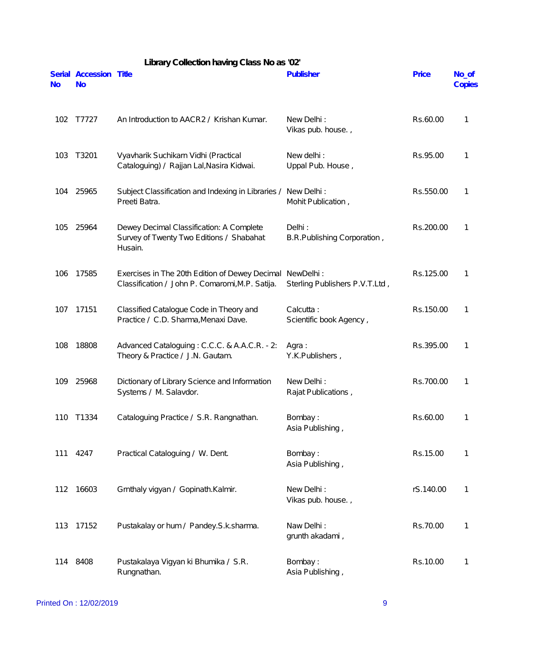| Library Collection having Class No as '02' |                                     |                                                                                                             |                                       |              |                 |  |
|--------------------------------------------|-------------------------------------|-------------------------------------------------------------------------------------------------------------|---------------------------------------|--------------|-----------------|--|
| <b>No</b>                                  | Serial Accession Title<br><b>No</b> |                                                                                                             | Publisher                             | <b>Price</b> | No_of<br>Copies |  |
| 102                                        | T7727                               | An Introduction to AACR2 / Krishan Kumar.                                                                   | New Delhi:<br>Vikas pub. house.,      | Rs.60.00     | 1               |  |
| 103                                        | T3201                               | Vyavharik Suchikarn Vidhi (Practical<br>Cataloguing) / Rajjan Lal, Nasira Kidwai.                           | New delhi:<br>Uppal Pub. House,       | Rs.95.00     | 1               |  |
| 104                                        | 25965                               | Subject Classification and Indexing in Libraries /<br>Preeti Batra.                                         | New Delhi:<br>Mohit Publication,      | Rs.550.00    | 1               |  |
| 105                                        | 25964                               | Dewey Decimal Classification: A Complete<br>Survey of Twenty Two Editions / Shabahat<br>Husain.             | Delhi:<br>B.R.Publishing Corporation, | Rs.200.00    | 1               |  |
| 106                                        | 17585                               | Exercises in The 20th Edition of Dewey Decimal NewDelhi:<br>Classification / John P. Comaromi, M.P. Satija. | Sterling Publishers P.V.T.Ltd,        | Rs.125.00    | 1               |  |
| 107                                        | 17151                               | Classified Catalogue Code in Theory and<br>Practice / C.D. Sharma, Menaxi Dave.                             | Calcutta:<br>Scientific book Agency,  | Rs.150.00    | 1               |  |
| 108                                        | 18808                               | Advanced Cataloguing: C.C.C. & A.A.C.R. - 2:<br>Theory & Practice / J.N. Gautam.                            | Agra:<br>Y.K.Publishers,              | Rs.395.00    | 1               |  |
| 109                                        | 25968                               | Dictionary of Library Science and Information<br>Systems / M. Salavdor.                                     | New Delhi:<br>Rajat Publications,     | Rs.700.00    | 1               |  |
| 110                                        | T1334                               | Cataloguing Practice / S.R. Rangnathan.                                                                     | Bombay:<br>Asia Publishing,           | Rs.60.00     | 1               |  |
| 111                                        | 4247                                | Practical Cataloguing / W. Dent.                                                                            | Bombay:<br>Asia Publishing,           | Rs.15.00     | 1               |  |
| 112                                        | 16603                               | Grnthaly vigyan / Gopinath.Kalmir.                                                                          | New Delhi:<br>Vikas pub. house.,      | rS.140.00    | 1               |  |
| 113                                        | 17152                               | Pustakalay or hum / Pandey. S.k. sharma.                                                                    | Naw Delhi:<br>grunth akadami,         | Rs.70.00     | 1               |  |
| 114                                        | 8408                                | Pustakalaya Vigyan ki Bhumika / S.R.<br>Rungnathan.                                                         | Bombay:<br>Asia Publishing,           | Rs.10.00     | 1               |  |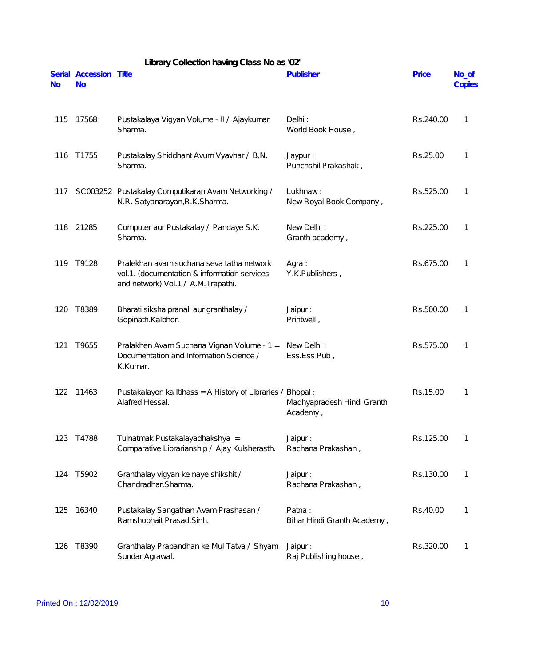| <b>No</b> | Serial Accession Title<br><b>No</b> |                                                                                                                                 | Publisher                              | Price     | No_of<br>Copies |
|-----------|-------------------------------------|---------------------------------------------------------------------------------------------------------------------------------|----------------------------------------|-----------|-----------------|
| 115       | 17568                               | Pustakalaya Vigyan Volume - II / Ajaykumar<br>Sharma.                                                                           | Delhi:<br>World Book House,            | Rs.240.00 | 1               |
| 116       | T1755                               | Pustakalay Shiddhant Avum Vyavhar / B.N.<br>Sharma.                                                                             | Jaypur:<br>Punchshil Prakashak,        | Rs.25.00  | 1               |
| 117       |                                     | SC003252 Pustakalay Computikaran Avam Networking /<br>N.R. Satyanarayan, R.K. Sharma.                                           | Lukhnaw:<br>New Royal Book Company,    | Rs.525.00 | 1               |
| 118       | 21285                               | Computer aur Pustakalay / Pandaye S.K.<br>Sharma.                                                                               | New Delhi:<br>Granth academy,          | Rs.225.00 | 1               |
| 119       | T9128                               | Pralekhan avam suchana seva tatha network<br>vol.1. (documentation & information services<br>and network) Vol.1 / A.M.Trapathi. | Agra:<br>Y.K.Publishers,               | Rs.675.00 | 1               |
| 120       | T8389                               | Bharati siksha pranali aur granthalay /<br>Gopinath.Kalbhor.                                                                    | Jaipur:<br>Printwell,                  | Rs.500.00 | 1               |
| 121       | T9655                               | Pralakhen Avam Suchana Vignan Volume - 1 =<br>Documentation and Information Science /<br>K.Kumar.                               | New Delhi:<br>Ess.Ess Pub,             | Rs.575.00 | 1               |
| 122       | 11463                               | Pustakalayon ka Itihass = A History of Libraries / Bhopal:<br>Alafred Hessal.                                                   | Madhyapradesh Hindi Granth<br>Academy, | Rs.15.00  | 1               |
| 123       | T4788                               | Tulnatmak Pustakalayadhakshya =<br>Comparative Librarianship / Ajay Kulsherasth.                                                | Jaipur:<br>Rachana Prakashan,          | Rs.125.00 | 1               |
| 124       | T5902                               | Granthalay vigyan ke naye shikshit /<br>Chandradhar.Sharma.                                                                     | Jaipur:<br>Rachana Prakashan,          | Rs.130.00 | 1               |
| 125       | 16340                               | Pustakalay Sangathan Avam Prashasan /<br>Ramshobhait Prasad.Sinh.                                                               | Patna:<br>Bihar Hindi Granth Academy,  | Rs.40.00  | 1               |
| 126       | T8390                               | Granthalay Prabandhan ke Mul Tatva / Shyam<br>Sundar Agrawal.                                                                   | Jaipur:<br>Raj Publishing house,       | Rs.320.00 | 1               |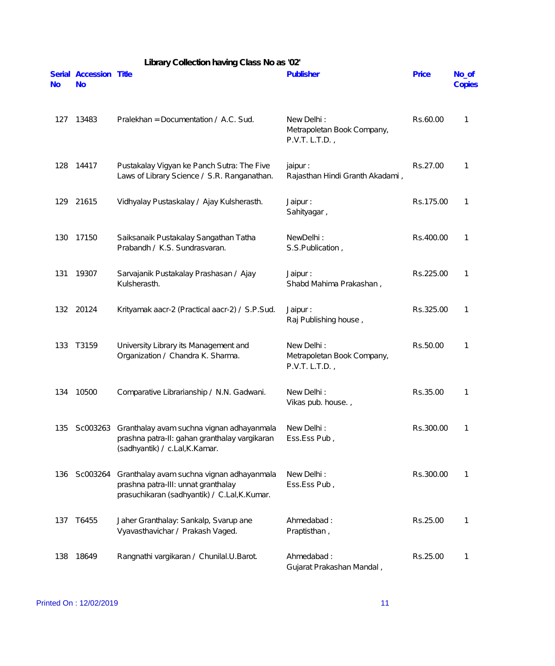|           | Library Collection having Class No as '02' |                                                                                                                                  |                                                            |              |                 |  |
|-----------|--------------------------------------------|----------------------------------------------------------------------------------------------------------------------------------|------------------------------------------------------------|--------------|-----------------|--|
| <b>No</b> | Serial Accession Title<br><b>No</b>        |                                                                                                                                  | Publisher                                                  | <b>Price</b> | No_of<br>Copies |  |
| 127       | 13483                                      | Pralekhan = Documentation / A.C. Sud.                                                                                            | New Delhi:<br>Metrapoletan Book Company,<br>P.V.T. L.T.D., | Rs.60.00     | 1               |  |
| 128       | 14417                                      | Pustakalay Vigyan ke Panch Sutra: The Five<br>Laws of Library Science / S.R. Ranganathan.                                        | jaipur :<br>Rajasthan Hindi Granth Akadami,                | Rs.27.00     | 1               |  |
| 129       | 21615                                      | Vidhyalay Pustaskalay / Ajay Kulsherasth.                                                                                        | Jaipur:<br>Sahityagar,                                     | Rs.175.00    | 1               |  |
| 130       | 17150                                      | Saiksanaik Pustakalay Sangathan Tatha<br>Prabandh / K.S. Sundrasvaran.                                                           | NewDelhi:<br>S.S.Publication,                              | Rs.400.00    | 1               |  |
| 131       | 19307                                      | Sarvajanik Pustakalay Prashasan / Ajay<br>Kulsherasth.                                                                           | Jaipur:<br>Shabd Mahima Prakashan,                         | Rs.225.00    | 1               |  |
| 132       | 20124                                      | Krityamak aacr-2 (Practical aacr-2) / S.P.Sud.                                                                                   | Jaipur:<br>Raj Publishing house,                           | Rs.325.00    | 1               |  |
| 133       | T3159                                      | University Library its Management and<br>Organization / Chandra K. Sharma.                                                       | New Delhi:<br>Metrapoletan Book Company,<br>P.V.T. L.T.D., | Rs.50.00     | 1               |  |
| 134       | 10500                                      | Comparative Librarianship / N.N. Gadwani.                                                                                        | New Delhi:<br>Vikas pub. house.,                           | Rs.35.00     | 1               |  |
| 135       | Sc003263                                   | Granthalay avam suchna vignan adhayanmala<br>prashna patra-II: gahan granthalay vargikaran<br>(sadhyantik) / c.Lal, K.Kamar.     | New Delhi:<br>Ess.Ess Pub,                                 | Rs.300.00    | 1               |  |
| 136       | Sc003264                                   | Granthalay avam suchna vignan adhayanmala<br>prashna patra-III: unnat granthalay<br>prasuchikaran (sadhyantik) / C.Lal, K.Kumar. | New Delhi:<br>Ess.Ess Pub,                                 | Rs.300.00    | 1               |  |
| 137       | T6455                                      | Jaher Granthalay: Sankalp, Svarup ane<br>Vyavasthavichar / Prakash Vaged.                                                        | Ahmedabad:<br>Praptisthan,                                 | Rs.25.00     | 1               |  |
| 138       | 18649                                      | Rangnathi vargikaran / Chunilal.U.Barot.                                                                                         | Ahmedabad:<br>Gujarat Prakashan Mandal,                    | Rs.25.00     | 1               |  |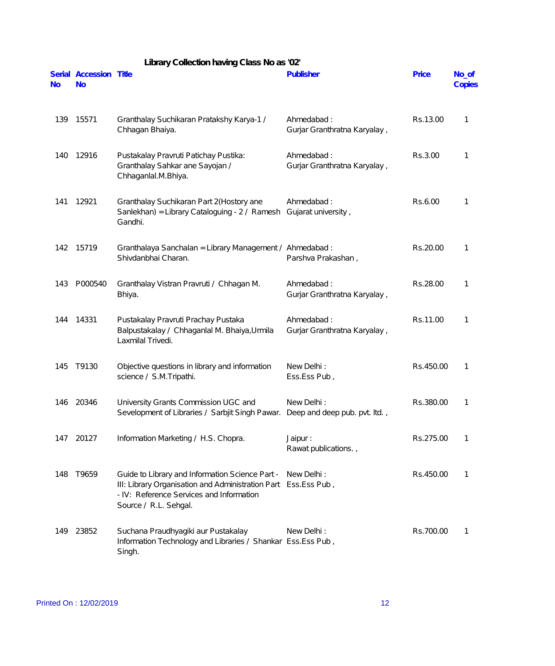|           | Library Collection having Class No as '02' |                                                                                                                                                                                        |                                            |              |                 |  |
|-----------|--------------------------------------------|----------------------------------------------------------------------------------------------------------------------------------------------------------------------------------------|--------------------------------------------|--------------|-----------------|--|
| <b>No</b> | Serial Accession Title<br><b>No</b>        |                                                                                                                                                                                        | Publisher                                  | <b>Price</b> | No_of<br>Copies |  |
| 139       | 15571                                      | Granthalay Suchikaran Pratakshy Karya-1 /<br>Chhagan Bhaiya.                                                                                                                           | Ahmedabad:<br>Gurjar Granthratna Karyalay, | Rs.13.00     | 1               |  |
| 140       | 12916                                      | Pustakalay Pravruti Patichay Pustika:<br>Granthalay Sahkar ane Sayojan /<br>Chhaganlal.M.Bhiya.                                                                                        | Ahmedabad:<br>Gurjar Granthratna Karyalay, | Rs.3.00      | 1               |  |
| 141       | 12921                                      | Granthalay Suchikaran Part 2(Hostory ane<br>Sanlekhan) = Library Cataloguing - 2 / Ramesh<br>Gandhi.                                                                                   | Ahmedabad:<br>Gujarat university,          | Rs.6.00      | 1               |  |
| 142       | 15719                                      | Granthalaya Sanchalan = Library Management / Ahmedabad :<br>Shivdanbhai Charan.                                                                                                        | Parshva Prakashan,                         | Rs.20.00     | 1               |  |
| 143       | P000540                                    | Granthalay Vistran Pravruti / Chhagan M.<br>Bhiya.                                                                                                                                     | Ahmedabad:<br>Gurjar Granthratna Karyalay, | Rs.28.00     | 1               |  |
| 144       | 14331                                      | Pustakalay Pravruti Prachay Pustaka<br>Balpustakalay / Chhaganlal M. Bhaiya, Urmila<br>Laxmilal Trivedi.                                                                               | Ahmedabad:<br>Gurjar Granthratna Karyalay, | Rs.11.00     | 1               |  |
| 145       | T9130                                      | Objective questions in library and information<br>science / S.M.Tripathi.                                                                                                              | New Delhi:<br>Ess.Ess Pub,                 | Rs.450.00    | 1               |  |
|           | 146 20346                                  | University Grants Commission UGC and<br>Sevelopment of Libraries / Sarbjit Singh Pawar. Deep and deep pub. pvt. Itd.,                                                                  | New Delhi:                                 | Rs.380.00    |                 |  |
|           | 147 20127                                  | Information Marketing / H.S. Chopra.                                                                                                                                                   | Jaipur:<br>Rawat publications.,            | Rs.275.00    | 1               |  |
| 148       | T9659                                      | Guide to Library and Information Science Part -<br>III: Library Organisation and Administration Part Ess.Ess Pub,<br>- IV: Reference Services and Information<br>Source / R.L. Sehgal. | New Delhi:                                 | Rs.450.00    | 1               |  |
| 149       | 23852                                      | Suchana Praudhyagiki aur Pustakalay<br>Information Technology and Libraries / Shankar Ess.Ess Pub,<br>Singh.                                                                           | New Delhi:                                 | Rs.700.00    | 1               |  |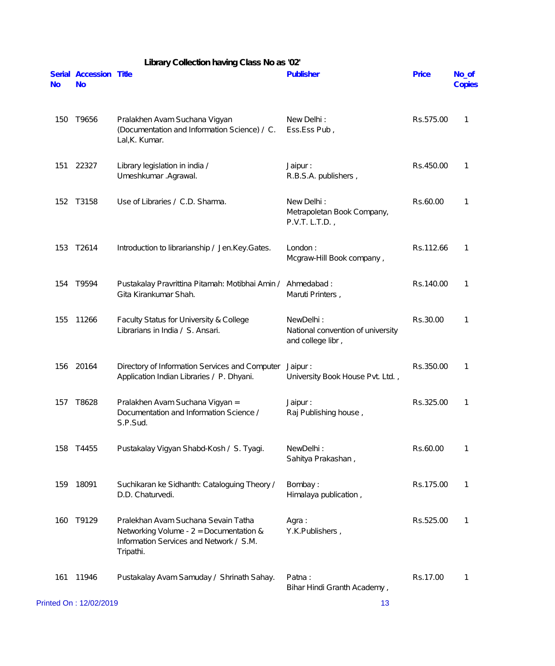|           |                                     | Library Collection having Class No as '02'                                                                                               |                                                                     |              |                 |
|-----------|-------------------------------------|------------------------------------------------------------------------------------------------------------------------------------------|---------------------------------------------------------------------|--------------|-----------------|
| <b>No</b> | Serial Accession Title<br><b>No</b> |                                                                                                                                          | Publisher                                                           | <b>Price</b> | No_of<br>Copies |
| 150       | T9656                               | Pralakhen Avam Suchana Vigyan<br>(Documentation and Information Science) / C.<br>Lal, K. Kumar.                                          | New Delhi:<br>Ess.Ess Pub,                                          | Rs.575.00    | 1               |
| 151       | 22327                               | Library legislation in india /<br>Umeshkumar .Agrawal.                                                                                   | Jaipur:<br>R.B.S.A. publishers,                                     | Rs.450.00    | 1               |
| 152       | T3158                               | Use of Libraries / C.D. Sharma.                                                                                                          | New Delhi:<br>Metrapoletan Book Company,<br>P.V.T. L.T.D.           | Rs.60.00     | 1               |
| 153       | T2614                               | Introduction to librarianship / Jen.Key.Gates.                                                                                           | London:<br>Mcgraw-Hill Book company,                                | Rs.112.66    | 1               |
| 154       | T9594                               | Pustakalay Pravrittina Pitamah: Motibhai Amin /<br>Gita Kirankumar Shah.                                                                 | Ahmedabad:<br>Maruti Printers,                                      | Rs.140.00    | 1               |
| 155       | 11266                               | Faculty Status for University & College<br>Librarians in India / S. Ansari.                                                              | NewDelhi:<br>National convention of university<br>and college libr, | Rs.30.00     | 1               |
| 156       | 20164                               | Directory of Information Services and Computer Jaipur:<br>Application Indian Libraries / P. Dhyani.                                      | University Book House Pvt. Ltd.,                                    | Rs.350.00    | 1               |
| 157       | T8628                               | Pralakhen Avam Suchana Vigyan =<br>Documentation and Information Science /<br>S.P.Sud.                                                   | Jaipur:<br>Raj Publishing house,                                    | Rs.325.00    |                 |
| 158       | T4455                               | Pustakalay Vigyan Shabd-Kosh / S. Tyagi.                                                                                                 | NewDelhi:<br>Sahitya Prakashan,                                     | Rs.60.00     | 1               |
| 159       | 18091                               | Suchikaran ke Sidhanth: Cataloguing Theory /<br>D.D. Chaturvedi.                                                                         | Bombay:<br>Himalaya publication,                                    | Rs.175.00    | 1               |
| 160       | T9129                               | Pralekhan Avam Suchana Sevain Tatha<br>Networking Volume - $2 =$ Documentation &<br>Information Services and Network / S.M.<br>Tripathi. | Agra:<br>Y.K.Publishers,                                            | Rs.525.00    | 1               |
| 161       | 11946                               | Pustakalay Avam Samuday / Shrinath Sahay.                                                                                                | Patna:<br>Bihar Hindi Granth Academy,                               | Rs.17.00     | 1               |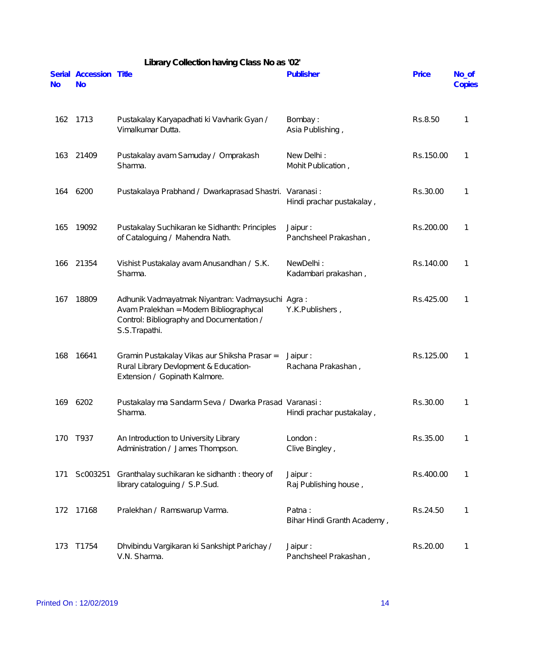|           | Library Collection having Class No as '02' |                                                                                                                                                           |                                       |              |                 |
|-----------|--------------------------------------------|-----------------------------------------------------------------------------------------------------------------------------------------------------------|---------------------------------------|--------------|-----------------|
| <b>No</b> | Serial Accession Title<br><b>No</b>        |                                                                                                                                                           | <b>Publisher</b>                      | <b>Price</b> | No_of<br>Copies |
| 162       | 1713                                       | Pustakalay Karyapadhati ki Vavharik Gyan /<br>Vimalkumar Dutta.                                                                                           | Bombay:<br>Asia Publishing,           | Rs.8.50      | 1               |
| 163       | 21409                                      | Pustakalay avam Samuday / Omprakash<br>Sharma.                                                                                                            | New Delhi:<br>Mohit Publication,      | Rs.150.00    | 1               |
| 164       | 6200                                       | Pustakalaya Prabhand / Dwarkaprasad Shastri. Varanasi:                                                                                                    | Hindi prachar pustakalay,             | Rs.30.00     | $\mathbf{1}$    |
| 165       | 19092                                      | Pustakalay Suchikaran ke Sidhanth: Principles<br>of Cataloguing / Mahendra Nath.                                                                          | Jaipur:<br>Panchsheel Prakashan,      | Rs.200.00    | 1               |
| 166       | 21354                                      | Vishist Pustakalay avam Anusandhan / S.K.<br>Sharma.                                                                                                      | NewDelhi:<br>Kadambari prakashan,     | Rs.140.00    | 1               |
| 167       | 18809                                      | Adhunik Vadmayatmak Niyantran: Vadmaysuchi Agra:<br>Avam Pralekhan = Modern Bibliographycal<br>Control: Bibliography and Documentation /<br>S.S.Trapathi. | Y.K.Publishers,                       | Rs.425.00    | 1               |
| 168       | 16641                                      | Gramin Pustakalay Vikas aur Shiksha Prasar =<br>Rural Library Devlopment & Education-<br>Extension / Gopinath Kalmore.                                    | Jaipur:<br>Rachana Prakashan,         | Rs.125.00    | 1               |
| 169       | 6202                                       | Pustakalay ma Sandarm Seva / Dwarka Prasad Varanasi:<br>Sharma.                                                                                           | Hindi prachar pustakalay,             | Rs.30.00     |                 |
| 170       | T937                                       | An Introduction to University Library<br>Administration / James Thompson.                                                                                 | London:<br>Clive Bingley,             | Rs.35.00     | 1               |
| 171       | Sc003251                                   | Granthalay suchikaran ke sidhanth: theory of<br>library cataloguing / S.P.Sud.                                                                            | Jaipur:<br>Raj Publishing house,      | Rs.400.00    | 1               |
| 172       | 17168                                      | Pralekhan / Ramswarup Varma.                                                                                                                              | Patna:<br>Bihar Hindi Granth Academy, | Rs.24.50     | $\mathbf{1}$    |
| 173       | T1754                                      | Dhvibindu Vargikaran ki Sankshipt Parichay /<br>V.N. Sharma.                                                                                              | Jaipur:<br>Panchsheel Prakashan,      | Rs.20.00     | 1               |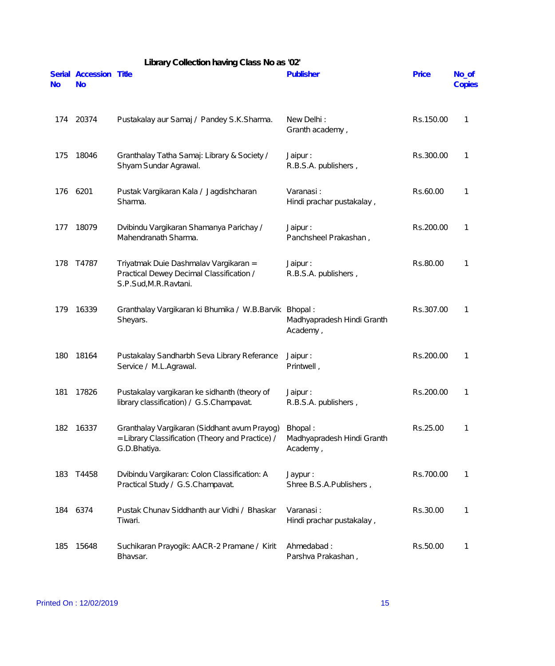| Library Collection having Class No as '02' |                                     |                                                                                                                  |                                                   |           |                 |
|--------------------------------------------|-------------------------------------|------------------------------------------------------------------------------------------------------------------|---------------------------------------------------|-----------|-----------------|
| <b>No</b>                                  | Serial Accession Title<br><b>No</b> |                                                                                                                  | Publisher                                         | Price     | No_of<br>Copies |
| 174                                        | 20374                               | Pustakalay aur Samaj / Pandey S.K.Sharma.                                                                        | New Delhi:<br>Granth academy,                     | Rs.150.00 | 1               |
| 175                                        | 18046                               | Granthalay Tatha Samaj: Library & Society /<br>Shyam Sundar Agrawal.                                             | Jaipur:<br>R.B.S.A. publishers,                   | Rs.300.00 | 1               |
| 176                                        | 6201                                | Pustak Vargikaran Kala / Jagdishcharan<br>Sharma.                                                                | Varanasi:<br>Hindi prachar pustakalay,            | Rs.60.00  | 1               |
| 177                                        | 18079                               | Dvibindu Vargikaran Shamanya Parichay /<br>Mahendranath Sharma.                                                  | Jaipur:<br>Panchsheel Prakashan,                  | Rs.200.00 | 1               |
| 178                                        | T4787                               | Triyatmak Duie Dashmalav Vargikaran =<br>Practical Dewey Decimal Classification /<br>S.P.Sud, M.R. Ravtani.      | Jaipur:<br>R.B.S.A. publishers,                   | Rs.80.00  | 1               |
| 179                                        | 16339                               | Granthalay Vargikaran ki Bhumika / W.B.Barvik Bhopal:<br>Sheyars.                                                | Madhyapradesh Hindi Granth<br>Academy,            | Rs.307.00 | 1               |
| 180                                        | 18164                               | Pustakalay Sandharbh Seva Library Referance<br>Service / M.L.Agrawal.                                            | Jaipur:<br>Printwell,                             | Rs.200.00 | 1               |
| 181                                        | 17826                               | Pustakalay vargikaran ke sidhanth (theory of<br>library classification) / G.S.Champavat.                         | Jaipur:<br>R.B.S.A. publishers,                   | Rs.200.00 | 1               |
| 182                                        | 16337                               | Granthalay Vargikaran (Siddhant avum Prayog)<br>= Library Classification (Theory and Practice) /<br>G.D.Bhatiya. | Bhopal:<br>Madhyapradesh Hindi Granth<br>Academy, | Rs.25.00  | 1               |
| 183                                        | T4458                               | Dvibindu Vargikaran: Colon Classification: A<br>Practical Study / G.S.Champavat.                                 | Jaypur:<br>Shree B.S.A.Publishers,                | Rs.700.00 | 1               |
| 184                                        | 6374                                | Pustak Chunav Siddhanth aur Vidhi / Bhaskar<br>Tiwari.                                                           | Varanasi:<br>Hindi prachar pustakalay,            | Rs.30.00  | 1               |
| 185                                        | 15648                               | Suchikaran Prayogik: AACR-2 Pramane / Kirit<br>Bhavsar.                                                          | Ahmedabad:<br>Parshva Prakashan,                  | Rs.50.00  | 1               |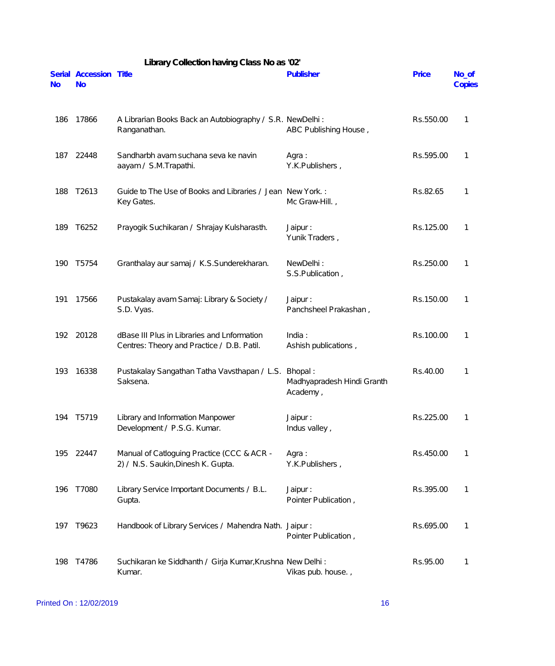|           |                                     | Library Collection having Class No as '02'                                                |                                                   |              |                 |
|-----------|-------------------------------------|-------------------------------------------------------------------------------------------|---------------------------------------------------|--------------|-----------------|
| <b>No</b> | Serial Accession Title<br><b>No</b> |                                                                                           | Publisher                                         | <b>Price</b> | No_of<br>Copies |
| 186       | 17866                               | A Librarian Books Back an Autobiography / S.R. NewDelhi:<br>Ranganathan.                  | ABC Publishing House,                             | Rs.550.00    | 1               |
| 187       | 22448                               | Sandharbh avam suchana seva ke navin<br>aayam / S.M.Trapathi.                             | Agra:<br>Y.K.Publishers,                          | Rs.595.00    | 1               |
| 188       | T2613                               | Guide to The Use of Books and Libraries / Jean New York.:<br>Key Gates.                   | Mc Graw-Hill.,                                    | Rs.82.65     | 1               |
| 189       | T6252                               | Prayogik Suchikaran / Shrajay Kulsharasth.                                                | Jaipur :<br>Yunik Traders,                        | Rs.125.00    | 1               |
| 190       | T5754                               | Granthalay aur samaj / K.S.Sunderekharan.                                                 | NewDelhi:<br>S.S.Publication,                     | Rs.250.00    | 1               |
| 191       | 17566                               | Pustakalay avam Samaj: Library & Society /<br>S.D. Vyas.                                  | Jaipur:<br>Panchsheel Prakashan,                  | Rs.150.00    | 1               |
|           | 192 20128                           | dBase III Plus in Libraries and Lnformation<br>Centres: Theory and Practice / D.B. Patil. | India:<br>Ashish publications,                    | Rs.100.00    | 1               |
| 193       | 16338                               | Pustakalay Sangathan Tatha Vavsthapan / L.S.<br>Saksena.                                  | Bhopal:<br>Madhyapradesh Hindi Granth<br>Academy, | Rs.40.00     | 1               |
| 194       | T5719                               | Library and Information Manpower<br>Development / P.S.G. Kumar.                           | Jaipur:<br>Indus valley,                          | Rs.225.00    | 1               |
| 195       | 22447                               | Manual of Catloguing Practice (CCC & ACR -<br>2) / N.S. Saukin, Dinesh K. Gupta.          | Agra:<br>Y.K.Publishers,                          | Rs.450.00    | 1               |
| 196       | T7080                               | Library Service Important Documents / B.L.<br>Gupta.                                      | Jaipur:<br>Pointer Publication,                   | Rs.395.00    | 1               |
| 197       | T9623                               | Handbook of Library Services / Mahendra Nath. Jaipur:                                     | Pointer Publication,                              | Rs.695.00    | 1               |
| 198       | T4786                               | Suchikaran ke Siddhanth / Girja Kumar, Krushna New Delhi:<br>Kumar.                       | Vikas pub. house.,                                | Rs.95.00     | 1               |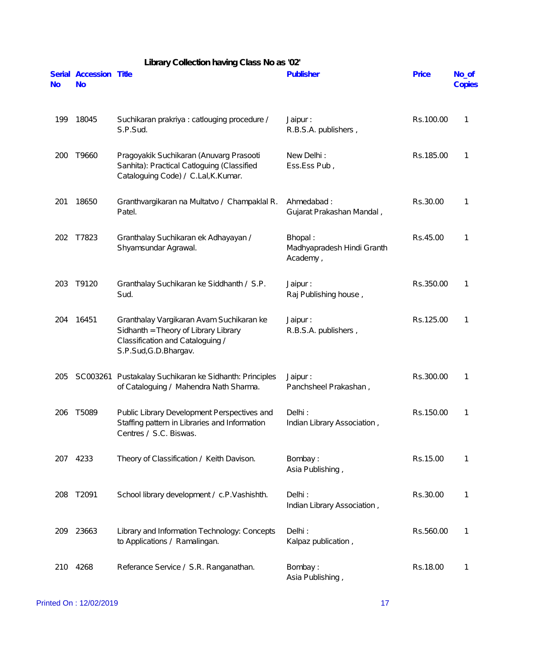| <b>No</b> | Serial Accession Title<br><b>No</b> |                                                                                                                                                | Publisher                                         | Price     | No_of<br>Copies |
|-----------|-------------------------------------|------------------------------------------------------------------------------------------------------------------------------------------------|---------------------------------------------------|-----------|-----------------|
| 199       | 18045                               | Suchikaran prakriya : catlouging procedure /<br>S.P.Sud.                                                                                       | Jaipur:<br>R.B.S.A. publishers,                   | Rs.100.00 | 1               |
| 200       | T9660                               | Pragoyakik Suchikaran (Anuvarg Prasooti<br>Sanhita): Practical Catloguing (Classified<br>Cataloguing Code) / C.Lal, K. Kumar.                  | New Delhi:<br>Ess.Ess Pub,                        | Rs.185.00 | 1               |
| 201       | 18650                               | Granthvargikaran na Multatvo / Champaklal R.<br>Patel.                                                                                         | Ahmedabad:<br>Gujarat Prakashan Mandal,           | Rs.30.00  | 1               |
| 202       | T7823                               | Granthalay Suchikaran ek Adhayayan /<br>Shyamsundar Agrawal.                                                                                   | Bhopal:<br>Madhyapradesh Hindi Granth<br>Academy, | Rs.45.00  | 1               |
| 203       | T9120                               | Granthalay Suchikaran ke Siddhanth / S.P.<br>Sud.                                                                                              | Jaipur:<br>Raj Publishing house,                  | Rs.350.00 | 1               |
| 204       | 16451                               | Granthalay Vargikaran Avam Suchikaran ke<br>Sidhanth = Theory of Library Library<br>Classification and Cataloguing /<br>S.P.Sud, G.D. Bhargav. | Jaipur:<br>R.B.S.A. publishers,                   | Rs.125.00 | 1               |
| 205       |                                     | SC003261 Pustakalay Suchikaran ke Sidhanth: Principles<br>of Cataloguing / Mahendra Nath Sharma.                                               | Jaipur:<br>Panchsheel Prakashan,                  | Rs.300.00 | 1               |
|           | 206 T5089                           | Public Library Development Perspectives and<br>Staffing pattern in Libraries and Information<br>Centres / S.C. Biswas.                         | Delhi:<br>Indian Library Association,             | Rs.150.00 | 1               |
| 207       | 4233                                | Theory of Classification / Keith Davison.                                                                                                      | Bombay:<br>Asia Publishing,                       | Rs.15.00  | 1               |
| 208       | T2091                               | School library development / c.P.Vashishth.                                                                                                    | Delhi:<br>Indian Library Association,             | Rs.30.00  | 1               |
| 209       | 23663                               | Library and Information Technology: Concepts<br>to Applications / Ramalingan.                                                                  | Delhi:<br>Kalpaz publication,                     | Rs.560.00 | 1               |
| 210       | 4268                                | Referance Service / S.R. Ranganathan.                                                                                                          | Bombay:<br>Asia Publishing,                       | Rs.18.00  | 1               |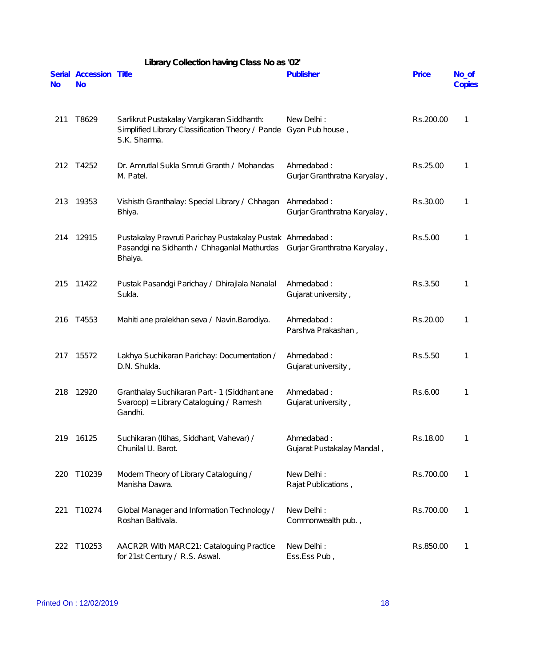|           |                                     | Library Collection having Class No as '02'                                                                                                       |                                            |           |                 |
|-----------|-------------------------------------|--------------------------------------------------------------------------------------------------------------------------------------------------|--------------------------------------------|-----------|-----------------|
| <b>No</b> | Serial Accession Title<br><b>No</b> |                                                                                                                                                  | Publisher                                  | Price     | No_of<br>Copies |
| 211       | T8629                               | Sarlikrut Pustakalay Vargikaran Siddhanth:<br>Simplified Library Classification Theory / Pande<br>S.K. Sharma.                                   | New Delhi:<br>Gyan Pub house,              | Rs.200.00 | 1               |
| 212       | T4252                               | Dr. Amrutlal Sukla Smruti Granth / Mohandas<br>M. Patel.                                                                                         | Ahmedabad:<br>Gurjar Granthratna Karyalay, | Rs.25.00  | 1               |
| 213       | 19353                               | Vishisth Granthalay: Special Library / Chhagan Ahmedabad:<br>Bhiya.                                                                              | Gurjar Granthratna Karyalay,               | Rs.30.00  | 1               |
| 214       | 12915                               | Pustakalay Pravruti Parichay Pustakalay Pustak Ahmedabad:<br>Pasandgi na Sidhanth / Chhaganlal Mathurdas Gurjar Granthratna Karyalay,<br>Bhaiya. |                                            | Rs.5.00   | 1               |
| 215       | 11422                               | Pustak Pasandgi Parichay / Dhirajlala Nanalal<br>Sukla.                                                                                          | Ahmedabad:<br>Gujarat university,          | Rs.3.50   | 1               |
| 216       | T4553                               | Mahiti ane pralekhan seva / Navin. Barodiya.                                                                                                     | Ahmedabad:<br>Parshva Prakashan,           | Rs.20.00  | 1               |
| 217       | 15572                               | Lakhya Suchikaran Parichay: Documentation /<br>D.N. Shukla.                                                                                      | Ahmedabad:<br>Gujarat university,          | Rs.5.50   | 1               |
| 218       | 12920                               | Granthalay Suchikaran Part - 1 (Siddhant ane<br>Svaroop) = Library Cataloguing / Ramesh<br>Gandhi.                                               | Ahmedabad:<br>Gujarat university,          | Rs.6.00   | 1               |
| 219       | 16125                               | Suchikaran (Itihas, Siddhant, Vahevar) /<br>Chunilal U. Barot.                                                                                   | Ahmedabad:<br>Gujarat Pustakalay Mandal,   | Rs.18.00  | 1               |
| 220       | T10239                              | Modern Theory of Library Cataloguing /<br>Manisha Dawra.                                                                                         | New Delhi:<br>Rajat Publications,          | Rs.700.00 | 1               |
| 221       | T10274                              | Global Manager and Information Technology /<br>Roshan Baltivala.                                                                                 | New Delhi:<br>Commonwealth pub.,           | Rs.700.00 | 1               |
| 222       | T10253                              | AACR2R With MARC21: Cataloguing Practice<br>for 21st Century / R.S. Aswal.                                                                       | New Delhi:<br>Ess.Ess Pub,                 | Rs.850.00 | 1               |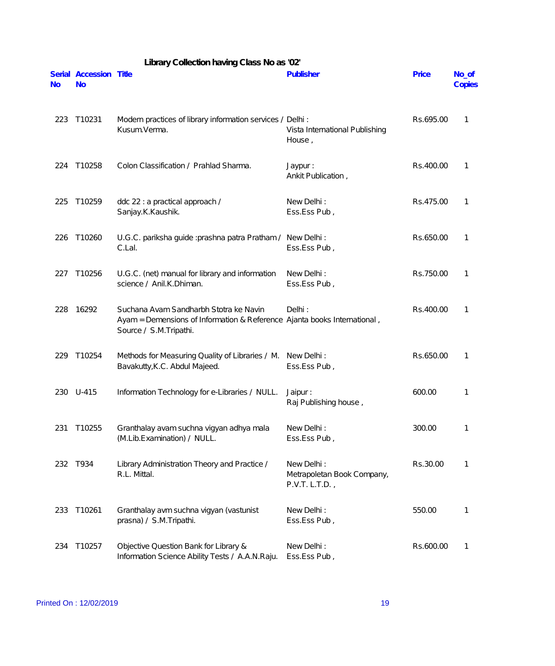|           |                                     | Library Collection having Class No as '02'                                                                                                   |                                                           |              |                 |
|-----------|-------------------------------------|----------------------------------------------------------------------------------------------------------------------------------------------|-----------------------------------------------------------|--------------|-----------------|
| <b>No</b> | Serial Accession Title<br><b>No</b> |                                                                                                                                              | Publisher                                                 | <b>Price</b> | No_of<br>Copies |
| 223       | T10231                              | Modern practices of library information services / Delhi :<br>Kusum.Verma.                                                                   | Vista International Publishing<br>House,                  | Rs.695.00    | 1               |
| 224       | T10258                              | Colon Classification / Prahlad Sharma.                                                                                                       | Jaypur:<br>Ankit Publication,                             | Rs.400.00    | 1               |
| 225       | T10259                              | ddc 22 : a practical approach /<br>Sanjay.K.Kaushik.                                                                                         | New Delhi:<br>Ess.Ess Pub,                                | Rs.475.00    | 1               |
| 226       | T10260                              | U.G.C. pariksha guide : prashna patra Pratham / New Delhi :<br>C.Lal.                                                                        | Ess.Ess Pub,                                              | Rs.650.00    | 1               |
| 227       | T10256                              | U.G.C. (net) manual for library and information<br>science / Anil.K.Dhiman.                                                                  | New Delhi:<br>Ess.Ess Pub,                                | Rs.750.00    | 1               |
| 228       | 16292                               | Suchana Avam Sandharbh Stotra ke Navin<br>Ayam = Demensions of Information & Reference Ajanta books International,<br>Source / S.M.Tripathi. | Delhi:                                                    | Rs.400.00    | 1               |
| 229       | T10254                              | Methods for Measuring Quality of Libraries / M. New Delhi:<br>Bavakutty, K.C. Abdul Majeed.                                                  | Ess.Ess Pub,                                              | Rs.650.00    | 1               |
| 230       | $U-415$                             | Information Technology for e-Libraries / NULL.                                                                                               | Jaipur:<br>Raj Publishing house,                          | 600.00       | 1               |
| 231       | T10255                              | Granthalay avam suchna vigyan adhya mala<br>(M.Lib.Examination) / NULL.                                                                      | New Delhi:<br>Ess.Ess Pub,                                | 300.00       | 1               |
| 232       | T934                                | Library Administration Theory and Practice /<br>R.L. Mittal.                                                                                 | New Delhi:<br>Metrapoletan Book Company,<br>P.V.T. L.T.D. | Rs.30.00     | 1               |
| 233       | T10261                              | Granthalay avm suchna vigyan (vastunist<br>prasna) / S.M.Tripathi.                                                                           | New Delhi:<br>Ess.Ess Pub,                                | 550.00       | 1               |
| 234       | T10257                              | Objective Question Bank for Library &<br>Information Science Ability Tests / A.A.N.Raju.                                                     | New Delhi:<br>Ess.Ess Pub,                                | Rs.600.00    | 1               |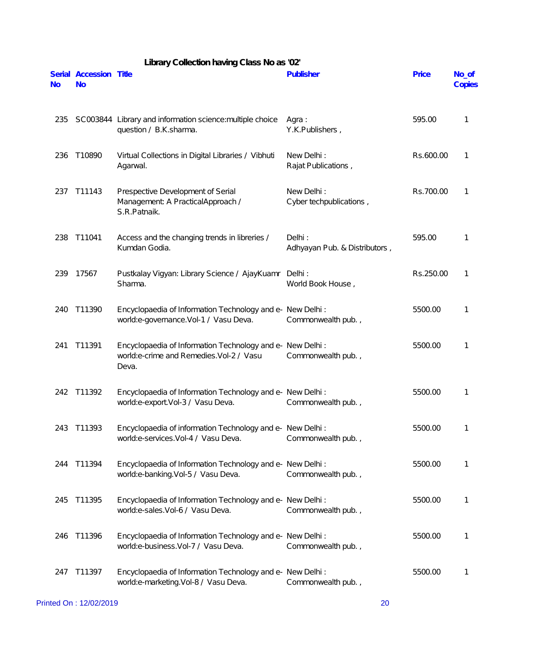|           |                                     | Library Collection having Class No as '02'                                                                         |                                         |              |                 |
|-----------|-------------------------------------|--------------------------------------------------------------------------------------------------------------------|-----------------------------------------|--------------|-----------------|
| <b>No</b> | Serial Accession Title<br><b>No</b> |                                                                                                                    | Publisher                               | <b>Price</b> | No_of<br>Copies |
| 235       |                                     | SC003844 Library and information science: multiple choice<br>question / B.K.sharma.                                | Agra:<br>Y.K.Publishers,                | 595.00       | 1               |
| 236       | T10890                              | Virtual Collections in Digital Libraries / Vibhuti<br>Agarwal.                                                     | New Delhi:<br>Rajat Publications,       | Rs.600.00    | 1               |
| 237       | T11143                              | Prespective Development of Serial<br>Management: A PracticalApproach /<br>S.R.Patnaik.                             | New Delhi:<br>Cyber techpublications,   | Rs.700.00    | 1               |
| 238       | T11041                              | Access and the changing trends in libreries /<br>Kumdan Godia.                                                     | Delhi:<br>Adhyayan Pub. & Distributors, | 595.00       | 1               |
| 239       | 17567                               | Pustkalay Vigyan: Library Science / AjayKuamr<br>Sharma.                                                           | Delhi:<br>World Book House,             | Rs.250.00    | 1               |
| 240       | T11390                              | Encyclopaedia of Information Technology and e- New Delhi:<br>world:e-governance.Vol-1 / Vasu Deva.                 | Commonwealth pub.,                      | 5500.00      | 1               |
| 241       | T11391                              | Encyclopaedia of Information Technology and e- New Delhi:<br>world:e-crime and Remedies.Vol-2 / Vasu<br>Deva.      | Commonwealth pub.,                      | 5500.00      | 1               |
| 242       | T11392                              | Encyclopaedia of Information Technology and e- New Delhi :<br>world:e-export.Vol-3 / Vasu Deva. Commonwealth pub., |                                         | 5500.00      | 1               |
| 243       | T11393                              | Encyclopaedia of information Technology and e- New Delhi:<br>world:e-services.Vol-4 / Vasu Deva.                   | Commonwealth pub.,                      | 5500.00      | 1               |
| 244       | T11394                              | Encyclopaedia of Information Technology and e- New Delhi:<br>world:e-banking.Vol-5 / Vasu Deva.                    | Commonwealth pub.,                      | 5500.00      | 1               |
| 245       | T11395                              | Encyclopaedia of Information Technology and e- New Delhi:<br>world:e-sales.Vol-6 / Vasu Deva.                      | Commonwealth pub.,                      | 5500.00      | 1               |
| 246       | T11396                              | Encyclopaedia of Information Technology and e- New Delhi:<br>world:e-business.Vol-7 / Vasu Deva.                   | Commonwealth pub.,                      | 5500.00      | 1               |
| 247       | T11397                              | Encyclopaedia of Information Technology and e- New Delhi:<br>world:e-marketing.Vol-8 / Vasu Deva.                  | Commonwealth pub.,                      | 5500.00      | 1               |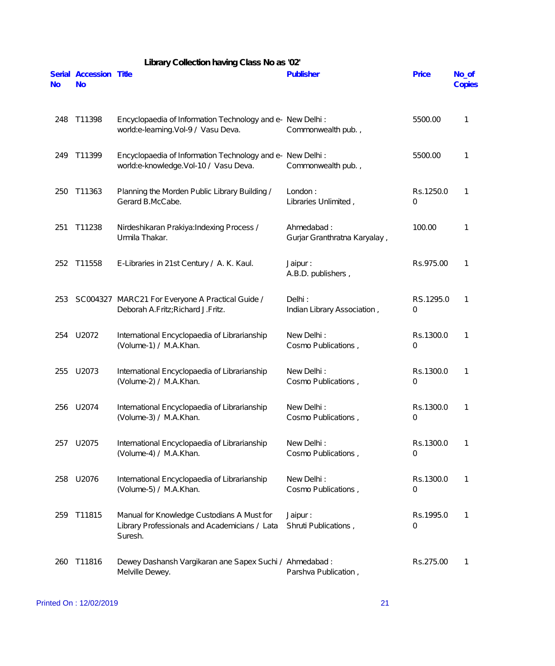|           |                                     | Library Collection having Class No as '02'                                                             |                                            |                |                 |
|-----------|-------------------------------------|--------------------------------------------------------------------------------------------------------|--------------------------------------------|----------------|-----------------|
| <b>No</b> | Serial Accession Title<br><b>No</b> |                                                                                                        | <b>Publisher</b>                           | Price          | No_of<br>Copies |
| 248       | T11398                              | Encyclopaedia of Information Technology and e- New Delhi:<br>world:e-learning.Vol-9 / Vasu Deva.       | Commonwealth pub.,                         | 5500.00        | 1               |
| 249       | T11399                              | Encyclopaedia of Information Technology and e- New Delhi:<br>world:e-knowledge.Vol-10 / Vasu Deva.     | Commonwealth pub.,                         | 5500.00        | 1               |
| 250       | T11363                              | Planning the Morden Public Library Building /<br>Gerard B.McCabe.                                      | London:<br>Libraries Unlimited,            | Rs.1250.0<br>0 | 1               |
| 251       | T11238                              | Nirdeshikaran Prakiya: Indexing Process /<br>Urmila Thakar.                                            | Ahmedabad:<br>Gurjar Granthratna Karyalay, | 100.00         | 1               |
| 252       | T11558                              | E-Libraries in 21st Century / A. K. Kaul.                                                              | Jaipur:<br>A.B.D. publishers,              | Rs.975.00      | 1               |
| 253       |                                     | SC004327 MARC21 For Everyone A Practical Guide /<br>Deborah A.Fritz; Richard J.Fritz.                  | Delhi:<br>Indian Library Association,      | RS.1295.0<br>0 | 1               |
| 254       | U2072                               | International Encyclopaedia of Librarianship<br>(Volume-1) / M.A.Khan.                                 | New Delhi:<br>Cosmo Publications,          | Rs.1300.0<br>0 | 1               |
| 255       | U2073                               | International Encyclopaedia of Librarianship<br>(Volume-2) / M.A.Khan.                                 | New Delhi:<br>Cosmo Publications,          | Rs.1300.0<br>0 | 1               |
| 256       | U2074                               | International Encyclopaedia of Librarianship<br>(Volume-3) / M.A.Khan.                                 | New Delhi:<br>Cosmo Publications,          | Rs.1300.0<br>0 | 1               |
| 257       | U2075                               | International Encyclopaedia of Librarianship<br>(Volume-4) / M.A.Khan.                                 | New Delhi:<br>Cosmo Publications,          | Rs.1300.0<br>0 | 1               |
| 258       | U2076                               | International Encyclopaedia of Librarianship<br>(Volume-5) / M.A.Khan.                                 | New Delhi:<br>Cosmo Publications,          | Rs.1300.0<br>0 | 1               |
| 259       | T11815                              | Manual for Knowledge Custodians A Must for<br>Library Professionals and Academicians / Lata<br>Suresh. | Jaipur:<br>Shruti Publications,            | Rs.1995.0<br>0 | 1               |
| 260       | T11816                              | Dewey Dashansh Vargikaran ane Sapex Suchi / Ahmedabad:<br>Melville Dewey.                              | Parshva Publication,                       | Rs.275.00      | 1               |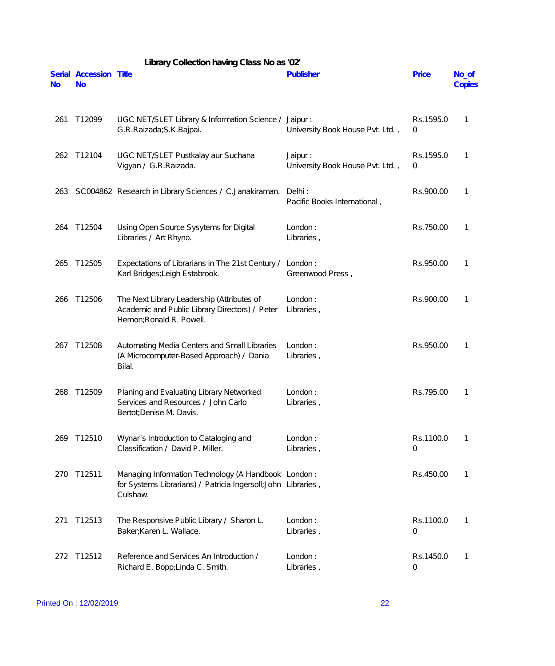|           |                                     | Library Collection having Class No as '02'                                                                                       |                                             |                |                 |
|-----------|-------------------------------------|----------------------------------------------------------------------------------------------------------------------------------|---------------------------------------------|----------------|-----------------|
| <b>No</b> | Serial Accession Title<br><b>No</b> |                                                                                                                                  | Publisher                                   | <b>Price</b>   | No_of<br>Copies |
| 261       | T12099                              | UGC NET/SLET Library & Information Science /<br>G.R.Raizada; S.K.Bajpai.                                                         | Jaipur:<br>University Book House Pvt. Ltd., | Rs.1595.0<br>0 | 1               |
| 262       | T12104                              | UGC NET/SLET Pustkalay aur Suchana<br>Vigyan / G.R.Raizada.                                                                      | Jaipur:<br>University Book House Pvt. Ltd., | Rs.1595.0<br>0 | 1               |
| 263       |                                     | SC004862 Research in Library Sciences / C.Janakiraman.                                                                           | Delhi:<br>Pacific Books International,      | Rs.900.00      | 1               |
| 264       | T12504                              | Using Open Source Sysytems for Digital<br>Libraries / Art Rhyno.                                                                 | London:<br>Libraries,                       | Rs.750.00      | 1               |
| 265       | T12505                              | Expectations of Librarians in The 21st Century /<br>Karl Bridges; Leigh Estabrook.                                               | London:<br>Greenwood Press,                 | Rs.950.00      | 1               |
| 266       | T12506                              | The Next Library Leadership (Attributes of<br>Academic and Public Library Directors) / Peter<br>Hernon; Ronald R. Powell.        | London:<br>Libraries,                       | Rs.900.00      | 1               |
| 267       | T12508                              | Automating Media Centers and Small Libraries<br>(A Microcomputer-Based Approach) / Dania<br>Bilal.                               | London:<br>Libraries,                       | Rs.950.00      | 1               |
| 268       | T12509                              | Planing and Evaluating Library Networked<br>Services and Resources / John Carlo<br>Bertot; Denise M. Davis.                      | London:<br>Libraries,                       | Rs.795.00      | 1               |
| 269       | T12510                              | Wynar's Introduction to Cataloging and<br>Classification / David P. Miller.                                                      | London:<br>Libraries,                       | Rs.1100.0<br>0 | 1               |
| 270       | T12511                              | Managing Information Technology (A Handbook London:<br>for Systems Librarians) / Patricia Ingersoll; John Libraries,<br>Culshaw. |                                             | Rs.450.00      | 1               |
| 271       | T12513                              | The Responsive Public Library / Sharon L.<br>Baker; Karen L. Wallace.                                                            | London:<br>Libraries,                       | Rs.1100.0<br>0 | 1               |
| 272       | T12512                              | Reference and Services An Introduction /<br>Richard E. Bopp; Linda C. Smith.                                                     | London:<br>Libraries,                       | Rs.1450.0<br>0 | 1               |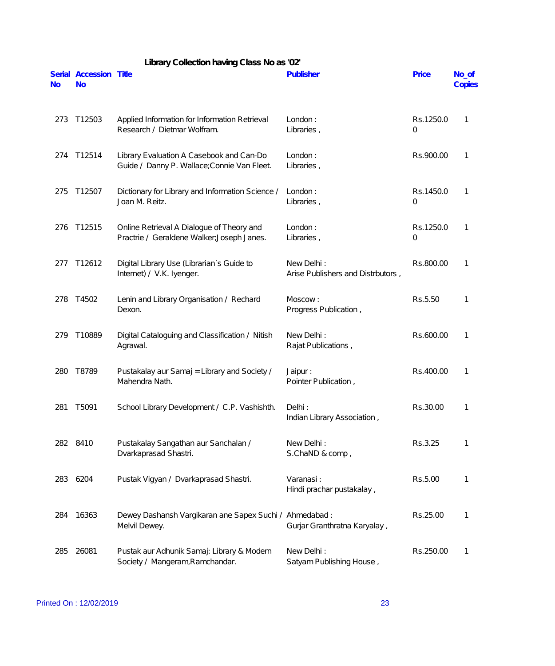| <b>No</b> | Serial Accession Title<br><b>No</b> |                                                                                         | Publisher                                       | Price                       | No_of<br>Copies |
|-----------|-------------------------------------|-----------------------------------------------------------------------------------------|-------------------------------------------------|-----------------------------|-----------------|
| 273       | T12503                              | Applied Information for Information Retrieval<br>Research / Dietmar Wolfram.            | London:<br>Libraries,                           | Rs.1250.0<br>0              | 1               |
| 274       | T12514                              | Library Evaluation A Casebook and Can-Do<br>Guide / Danny P. Wallace; Connie Van Fleet. | London:<br>Libraries,                           | Rs.900.00                   | 1               |
| 275       | T12507                              | Dictionary for Library and Information Science /<br>Joan M. Reitz.                      | London:<br>Libraries,                           | Rs.1450.0<br>0              | 1               |
| 276       | T12515                              | Online Retrieval A Dialogue of Theory and<br>Practrie / Geraldene Walker; Joseph Janes. | London:<br>Libraries,                           | Rs.1250.0<br>$\overline{0}$ | 1               |
| 277       | T12612                              | Digital Library Use (Librarian's Guide to<br>Internet) / V.K. Iyenger.                  | New Delhi:<br>Arise Publishers and Distrbutors, | Rs.800.00                   | 1               |
| 278       | T4502                               | Lenin and Library Organisation / Rechard<br>Dexon.                                      | Moscow:<br>Progress Publication,                | Rs.5.50                     | 1               |
| 279       | T10889                              | Digital Cataloguing and Classification / Nitish<br>Agrawal.                             | New Delhi:<br>Rajat Publications,               | Rs.600.00                   | 1               |
| 280       | T8789                               | Pustakalay aur Samaj = Library and Society /<br>Mahendra Nath.                          | Jaipur:<br>Pointer Publication,                 | Rs.400.00                   | 1               |
| 281       | T5091                               | School Library Development / C.P. Vashishth.                                            | Delhi:<br>Indian Library Association,           | Rs.30.00                    | 1               |
|           | 282 8410                            | Pustakalay Sangathan aur Sanchalan /<br>Dvarkaprasad Shastri.                           | New Delhi:<br>S.ChaND & comp,                   | Rs.3.25                     | 1               |
| 283       | 6204                                | Pustak Vigyan / Dvarkaprasad Shastri.                                                   | Varanasi:<br>Hindi prachar pustakalay,          | Rs.5.00                     | 1               |
| 284       | 16363                               | Dewey Dashansh Vargikaran ane Sapex Suchi / Ahmedabad:<br>Melvil Dewey.                 | Gurjar Granthratna Karyalay,                    | Rs.25.00                    | 1               |
| 285       | 26081                               | Pustak aur Adhunik Samaj: Library & Modern<br>Society / Mangeram, Ramchandar.           | New Delhi:<br>Satyam Publishing House,          | Rs.250.00                   | 1               |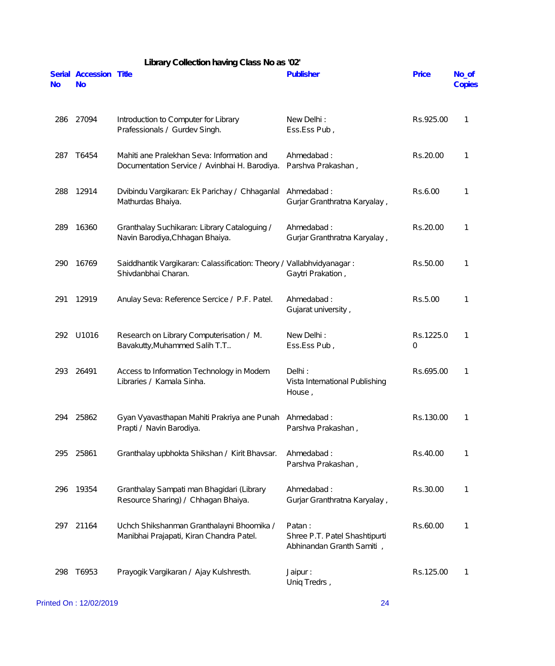|           | Library Collection having Class No as '02' |                                                                                             |                                                                      |                       |                 |  |  |
|-----------|--------------------------------------------|---------------------------------------------------------------------------------------------|----------------------------------------------------------------------|-----------------------|-----------------|--|--|
| <b>No</b> | Serial Accession Title<br><b>No</b>        |                                                                                             | Publisher                                                            | <b>Price</b>          | No_of<br>Copies |  |  |
| 286       | 27094                                      | Introduction to Computer for Library<br>Prafessionals / Gurdev Singh.                       | New Delhi:<br>Ess.Ess Pub,                                           | Rs.925.00             | 1               |  |  |
| 287       | T6454                                      | Mahiti ane Pralekhan Seva: Information and<br>Documentation Service / Avinbhai H. Barodiya. | Ahmedabad:<br>Parshva Prakashan,                                     | Rs.20.00              | 1               |  |  |
| 288       | 12914                                      | Dvibindu Vargikaran: Ek Parichay / Chhaganlal<br>Mathurdas Bhaiya.                          | Ahmedabad:<br>Gurjar Granthratna Karyalay,                           | Rs.6.00               | 1               |  |  |
| 289       | 16360                                      | Granthalay Suchikaran: Library Cataloguing /<br>Navin Barodiya, Chhagan Bhaiya.             | Ahmedabad:<br>Gurjar Granthratna Karyalay,                           | Rs.20.00              | 1               |  |  |
| 290       | 16769                                      | Saiddhantik Vargikaran: Calassification: Theory / Vallabhvidyanagar:<br>Shivdanbhai Charan. | Gaytri Prakation,                                                    | Rs.50.00              | 1               |  |  |
| 291       | 12919                                      | Anulay Seva: Reference Sercice / P.F. Patel.                                                | Ahmedabad:<br>Gujarat university,                                    | Rs.5.00               | 1               |  |  |
| 292       | U1016                                      | Research on Library Computerisation / M.<br>Bavakutty, Muhammed Salih T.T                   | New Delhi:<br>Ess.Ess Pub,                                           | Rs.1225.0<br>$\Omega$ | 1               |  |  |
| 293       | 26491                                      | Access to Information Technology in Modern<br>Libraries / Kamala Sinha.                     | Delhi:<br>Vista International Publishing<br>House,                   | Rs.695.00             | 1               |  |  |
| 294       | 25862                                      | Gyan Vyavasthapan Mahiti Prakriya ane Punah<br>Prapti / Navin Barodiya.                     | Ahmedabad:<br>Parshva Prakashan,                                     | Rs.130.00             | 1               |  |  |
| 295       | 25861                                      | Granthalay upbhokta Shikshan / Kirit Bhavsar.                                               | Ahmedabad:<br>Parshva Prakashan,                                     | Rs.40.00              | 1               |  |  |
| 296       | 19354                                      | Granthalay Sampati man Bhagidari (Library<br>Resource Sharing) / Chhagan Bhaiya.            | Ahmedabad:<br>Gurjar Granthratna Karyalay,                           | Rs.30.00              | 1               |  |  |
| 297       | 21164                                      | Uchch Shikshanman Granthalayni Bhoomika /<br>Manibhai Prajapati, Kiran Chandra Patel.       | Patan:<br>Shree P.T. Patel Shashtipurti<br>Abhinandan Granth Samiti, | Rs.60.00              | 1               |  |  |
| 298       | T6953                                      | Prayogik Vargikaran / Ajay Kulshresth.                                                      | Jaipur:<br>Uniq Tredrs,                                              | Rs.125.00             | 1               |  |  |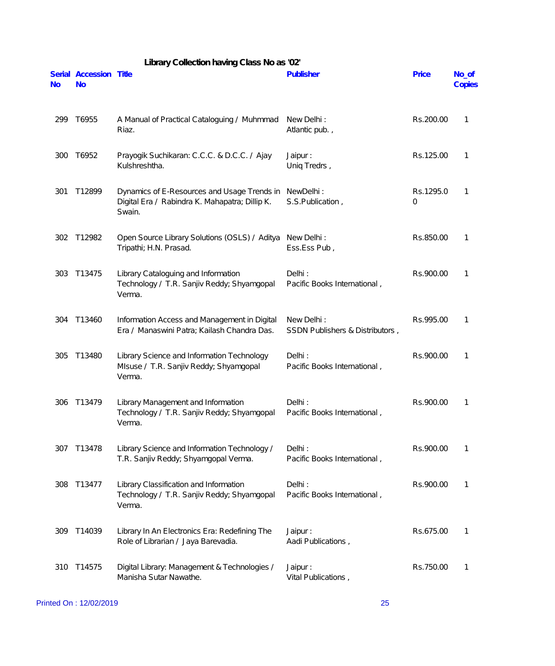|           | Library Collection having Class No as '02' |                                                                                                         |                                               |                |                 |  |  |
|-----------|--------------------------------------------|---------------------------------------------------------------------------------------------------------|-----------------------------------------------|----------------|-----------------|--|--|
| <b>No</b> | Serial Accession Title<br><b>No</b>        |                                                                                                         | Publisher                                     | Price          | No_of<br>Copies |  |  |
| 299       | T6955                                      | A Manual of Practical Cataloguing / Muhmmad<br>Riaz.                                                    | New Delhi:<br>Atlantic pub.,                  | Rs.200.00      | 1               |  |  |
| 300       | T6952                                      | Prayogik Suchikaran: C.C.C. & D.C.C. / Ajay<br>Kulshreshtha.                                            | Jaipur:<br>Uniq Tredrs,                       | Rs.125.00      | 1               |  |  |
| 301       | T12899                                     | Dynamics of E-Resources and Usage Trends in<br>Digital Era / Rabindra K. Mahapatra; Dillip K.<br>Swain. | NewDelhi:<br>S.S.Publication,                 | Rs.1295.0<br>0 | 1               |  |  |
| 302       | T12982                                     | Open Source Library Solutions (OSLS) / Aditya<br>Tripathi; H.N. Prasad.                                 | New Delhi:<br>Ess.Ess Pub,                    | Rs.850.00      | 1               |  |  |
| 303       | T13475                                     | Library Cataloguing and Information<br>Technology / T.R. Sanjiv Reddy; Shyamgopal<br>Verma.             | Delhi:<br>Pacific Books International,        | Rs.900.00      | 1               |  |  |
| 304       | T13460                                     | Information Access and Management in Digital<br>Era / Manaswini Patra; Kailash Chandra Das.             | New Delhi:<br>SSDN Publishers & Distributors, | Rs.995.00      | 1               |  |  |
| 305       | T13480                                     | Library Science and Information Technology<br>MIsuse / T.R. Sanjiv Reddy; Shyamgopal<br>Verma.          | Delhi:<br>Pacific Books International,        | Rs.900.00      | 1               |  |  |
| 306       | T13479                                     | Library Management and Information<br>Technology / T.R. Sanjiv Reddy; Shyamgopal<br>Verma.              | Delhi:<br>Pacific Books International,        | Rs.900.00      |                 |  |  |
| 307       | T13478                                     | Library Science and Information Technology /<br>T.R. Sanjiv Reddy; Shyamgopal Verma.                    | Delhi:<br>Pacific Books International,        | Rs.900.00      | 1               |  |  |
| 308       | T13477                                     | Library Classification and Information<br>Technology / T.R. Sanjiv Reddy; Shyamgopal<br>Verma.          | Delhi:<br>Pacific Books International,        | Rs.900.00      | 1               |  |  |
| 309       | T14039                                     | Library In An Electronics Era: Redefining The<br>Role of Librarian / Jaya Barevadia.                    | Jaipur:<br>Aadi Publications,                 | Rs.675.00      | 1               |  |  |
| 310       | T14575                                     | Digital Library: Management & Technologies /<br>Manisha Sutar Nawathe.                                  | Jaipur:<br>Vital Publications,                | Rs.750.00      | 1               |  |  |